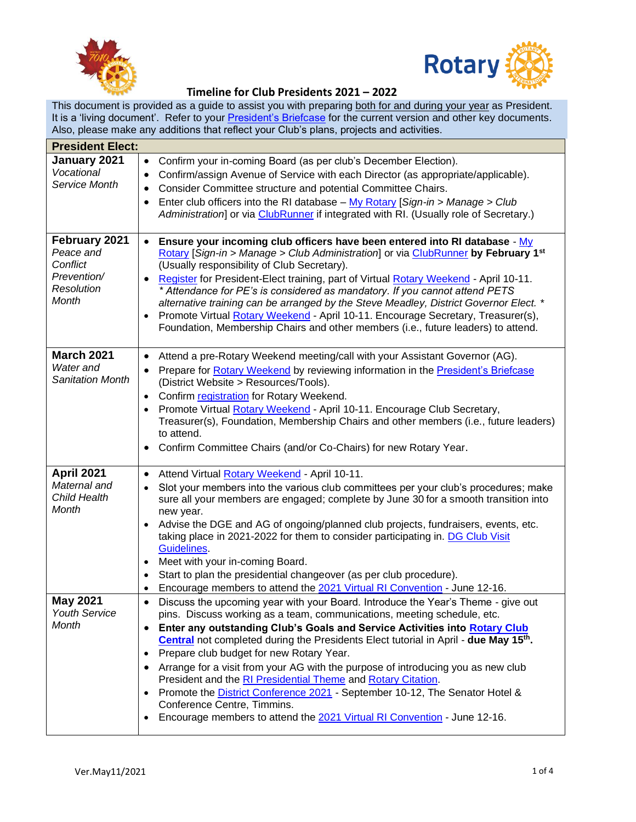



## **Timeline for Club Presidents 2021 – 2022**

This document is provided as a guide to assist you with preparing both for and during your year as President. It is a 'living document'. Refer to your [President's Briefcase](https://portal.clubrunner.ca/50040/sitepage/club-president-s-briefcase) for the current version and other key documents. Also, please make any additions that reflect your Club's plans, projects and activities.

| <b>President Elect:</b>                                                      |                                                                                                                                                                                                                                                                                                                                                                                                                                                                                                                                                                                                                                                                                                                                                                                                        |  |  |  |
|------------------------------------------------------------------------------|--------------------------------------------------------------------------------------------------------------------------------------------------------------------------------------------------------------------------------------------------------------------------------------------------------------------------------------------------------------------------------------------------------------------------------------------------------------------------------------------------------------------------------------------------------------------------------------------------------------------------------------------------------------------------------------------------------------------------------------------------------------------------------------------------------|--|--|--|
| January 2021<br>Vocational<br>Service Month                                  | Confirm your in-coming Board (as per club's December Election).<br>$\bullet$<br>Confirm/assign Avenue of Service with each Director (as appropriate/applicable).<br>$\bullet$                                                                                                                                                                                                                                                                                                                                                                                                                                                                                                                                                                                                                          |  |  |  |
|                                                                              | Consider Committee structure and potential Committee Chairs.<br>$\bullet$<br>Enter club officers into the RI database - My Rotary [Sign-in > Manage > Club<br>٠<br>Administration] or via ClubRunner if integrated with RI. (Usually role of Secretary.)                                                                                                                                                                                                                                                                                                                                                                                                                                                                                                                                               |  |  |  |
| February 2021<br>Peace and<br>Conflict<br>Prevention/<br>Resolution<br>Month | Ensure your incoming club officers have been entered into RI database - My<br>$\bullet$<br>Rotary [Sign-in > Manage > Club Administration] or via ClubRunner by February 1 <sup>st</sup><br>(Usually responsibility of Club Secretary).<br>Register for President-Elect training, part of Virtual Rotary Weekend - April 10-11.<br>$\bullet$<br>* Attendance for PE's is considered as mandatory. If you cannot attend PETS<br>alternative training can be arranged by the Steve Meadley, District Governor Elect. *<br>Promote Virtual Rotary Weekend - April 10-11. Encourage Secretary, Treasurer(s),<br>$\bullet$<br>Foundation, Membership Chairs and other members (i.e., future leaders) to attend.                                                                                             |  |  |  |
| <b>March 2021</b><br>Water and<br><b>Sanitation Month</b>                    | Attend a pre-Rotary Weekend meeting/call with your Assistant Governor (AG).<br>$\bullet$<br>Prepare for Rotary Weekend by reviewing information in the President's Briefcase<br>$\bullet$<br>(District Website > Resources/Tools).<br>Confirm registration for Rotary Weekend.<br>$\bullet$<br>Promote Virtual Rotary Weekend - April 10-11. Encourage Club Secretary,<br>$\bullet$<br>Treasurer(s), Foundation, Membership Chairs and other members (i.e., future leaders)<br>to attend.<br>Confirm Committee Chairs (and/or Co-Chairs) for new Rotary Year.<br>٠                                                                                                                                                                                                                                     |  |  |  |
| <b>April 2021</b><br>Maternal and<br>Child Health<br>Month                   | Attend Virtual Rotary Weekend - April 10-11.<br>$\bullet$<br>Slot your members into the various club committees per your club's procedures; make<br>$\bullet$<br>sure all your members are engaged; complete by June 30 for a smooth transition into<br>new year.<br>Advise the DGE and AG of ongoing/planned club projects, fundraisers, events, etc.<br>$\bullet$<br>taking place in 2021-2022 for them to consider participating in. DG Club Visit<br>Guidelines<br>Meet with your in-coming Board.<br>$\bullet$<br>Start to plan the presidential changeover (as per club procedure).<br>Encourage members to attend the 2021 Virtual RI Convention - June 12-16.<br>٠                                                                                                                             |  |  |  |
| <b>May 2021</b><br><b>Youth Service</b><br>Month                             | Discuss the upcoming year with your Board. Introduce the Year's Theme - give out<br>$\bullet$<br>pins. Discuss working as a team, communications, meeting schedule, etc.<br>Enter any outstanding Club's Goals and Service Activities into Rotary Club<br>$\bullet$<br><b>Central</b> not completed during the Presidents Elect tutorial in April - due May 15 <sup>th</sup> .<br>Prepare club budget for new Rotary Year.<br>$\bullet$<br>Arrange for a visit from your AG with the purpose of introducing you as new club<br>٠<br>President and the RI Presidential Theme and Rotary Citation.<br>Promote the <b>District Conference 2021</b> - September 10-12, The Senator Hotel &<br>Conference Centre, Timmins.<br>Encourage members to attend the 2021 Virtual RI Convention - June 12-16.<br>٠ |  |  |  |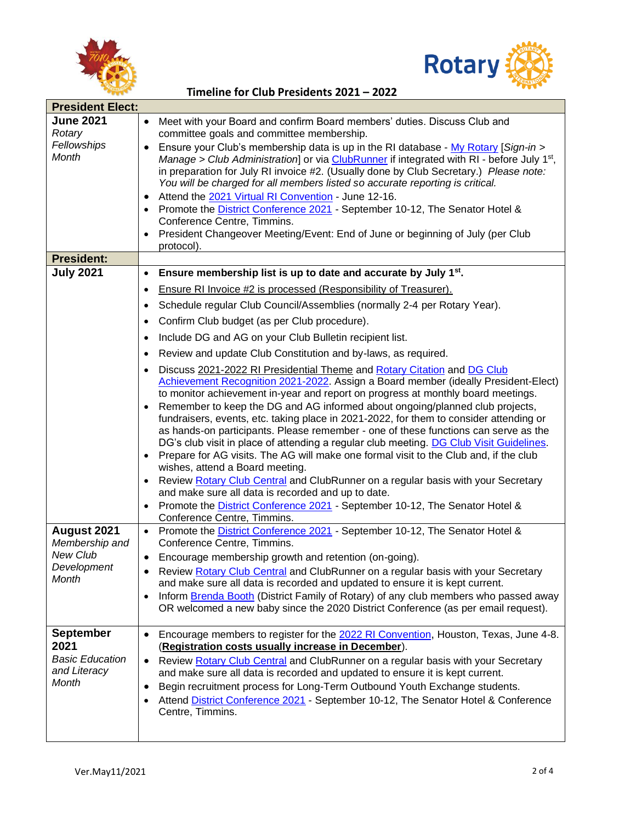



|  |  | Timeline for Club Presidents 2021 - 2022 |  |
|--|--|------------------------------------------|--|
|--|--|------------------------------------------|--|

| <b>President Elect:</b>     |                                                                                                                                |
|-----------------------------|--------------------------------------------------------------------------------------------------------------------------------|
| <b>June 2021</b>            | Meet with your Board and confirm Board members' duties. Discuss Club and<br>$\bullet$                                          |
| Rotary                      | committee goals and committee membership.                                                                                      |
| Fellowships<br><b>Month</b> | Ensure your Club's membership data is up in the RI database - My Rotary [Sign-in ><br>$\bullet$                                |
|                             | Manage > Club Administration] or via ClubRunner if integrated with RI - before July 1 <sup>st</sup> ,                          |
|                             | in preparation for July RI invoice #2. (Usually done by Club Secretary.) Please note:                                          |
|                             | You will be charged for all members listed so accurate reporting is critical.                                                  |
|                             | Attend the 2021 Virtual RI Convention - June 12-16.<br>$\bullet$                                                               |
|                             | Promote the <b>District Conference 2021</b> - September 10-12, The Senator Hotel &<br>$\bullet$<br>Conference Centre, Timmins. |
|                             | President Changeover Meeting/Event: End of June or beginning of July (per Club<br>$\bullet$                                    |
|                             | protocol).                                                                                                                     |
| <b>President:</b>           |                                                                                                                                |
| <b>July 2021</b>            | Ensure membership list is up to date and accurate by July 1 <sup>st</sup> .<br>$\bullet$                                       |
|                             | Ensure RI Invoice #2 is processed (Responsibility of Treasurer).<br>$\bullet$                                                  |
|                             | Schedule regular Club Council/Assemblies (normally 2-4 per Rotary Year).<br>$\bullet$                                          |
|                             | Confirm Club budget (as per Club procedure).<br>$\bullet$                                                                      |
|                             | Include DG and AG on your Club Bulletin recipient list.<br>$\bullet$                                                           |
|                             | Review and update Club Constitution and by-laws, as required.<br>$\bullet$                                                     |
|                             | Discuss 2021-2022 RI Presidential Theme and Rotary Citation and DG Club                                                        |
|                             | Achievement Recognition 2021-2022. Assign a Board member (ideally President-Elect)                                             |
|                             | to monitor achievement in-year and report on progress at monthly board meetings.                                               |
|                             | Remember to keep the DG and AG informed about ongoing/planned club projects,                                                   |
|                             | fundraisers, events, etc. taking place in 2021-2022, for them to consider attending or                                         |
|                             | as hands-on participants. Please remember - one of these functions can serve as the                                            |
|                             | DG's club visit in place of attending a regular club meeting. DG Club Visit Guidelines.                                        |
|                             | Prepare for AG visits. The AG will make one formal visit to the Club and, if the club<br>wishes, attend a Board meeting.       |
|                             | Review Rotary Club Central and ClubRunner on a regular basis with your Secretary                                               |
|                             | and make sure all data is recorded and up to date.                                                                             |
|                             | Promote the District Conference 2021 - September 10-12, The Senator Hotel &                                                    |
|                             | Conference Centre, Timmins.                                                                                                    |
| August 2021                 | Promote the District Conference 2021 - September 10-12, The Senator Hotel &<br>$\bullet$                                       |
| Membership and              | Conference Centre, Timmins.                                                                                                    |
| New Club                    | Encourage membership growth and retention (on-going).<br>$\bullet$                                                             |
| Development                 | Review Rotary Club Central and ClubRunner on a regular basis with your Secretary                                               |
| Month                       | and make sure all data is recorded and updated to ensure it is kept current.                                                   |
|                             | Inform Brenda Booth (District Family of Rotary) of any club members who passed away<br>$\bullet$                               |
|                             | OR welcomed a new baby since the 2020 District Conference (as per email request).                                              |
|                             |                                                                                                                                |
| <b>September</b>            | Encourage members to register for the 2022 RI Convention, Houston, Texas, June 4-8.<br>$\bullet$                               |
| 2021                        | (Registration costs usually increase in December).                                                                             |
| <b>Basic Education</b>      | Review Rotary Club Central and ClubRunner on a regular basis with your Secretary<br>$\bullet$                                  |
| and Literacy<br>Month       | and make sure all data is recorded and updated to ensure it is kept current.                                                   |
|                             | Begin recruitment process for Long-Term Outbound Youth Exchange students.<br>٠                                                 |
|                             | Attend District Conference 2021 - September 10-12, The Senator Hotel & Conference                                              |
|                             | Centre, Timmins.                                                                                                               |
|                             |                                                                                                                                |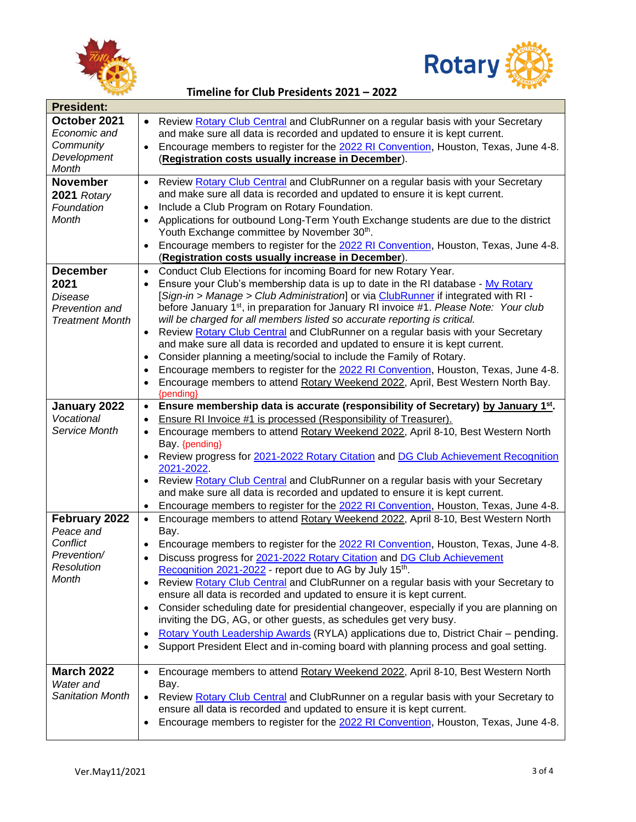



## **Timeline for Club Presidents 2021 – 2022**

| <b>President:</b>                                                              |                                                                                                                                                                                                                                                                                                                                                                                                                                                                                                                                                                                                                                                                                                                                                                                                                                                                                                                                           |  |  |  |
|--------------------------------------------------------------------------------|-------------------------------------------------------------------------------------------------------------------------------------------------------------------------------------------------------------------------------------------------------------------------------------------------------------------------------------------------------------------------------------------------------------------------------------------------------------------------------------------------------------------------------------------------------------------------------------------------------------------------------------------------------------------------------------------------------------------------------------------------------------------------------------------------------------------------------------------------------------------------------------------------------------------------------------------|--|--|--|
| October 2021<br>Economic and<br>Community<br>Development<br><b>Month</b>       | Review Rotary Club Central and ClubRunner on a regular basis with your Secretary<br>$\bullet$<br>and make sure all data is recorded and updated to ensure it is kept current.<br>Encourage members to register for the 2022 RI Convention, Houston, Texas, June 4-8.<br>$\bullet$<br>(Registration costs usually increase in December).                                                                                                                                                                                                                                                                                                                                                                                                                                                                                                                                                                                                   |  |  |  |
| <b>November</b><br>2021 Rotary<br>Foundation<br>Month                          | Review Rotary Club Central and ClubRunner on a regular basis with your Secretary<br>$\bullet$<br>and make sure all data is recorded and updated to ensure it is kept current.<br>Include a Club Program on Rotary Foundation.<br>$\bullet$<br>Applications for outbound Long-Term Youth Exchange students are due to the district<br>$\bullet$<br>Youth Exchange committee by November 30th.<br>Encourage members to register for the 2022 RI Convention, Houston, Texas, June 4-8.<br>$\bullet$<br>(Registration costs usually increase in December).                                                                                                                                                                                                                                                                                                                                                                                    |  |  |  |
| <b>December</b><br>2021<br>Disease<br>Prevention and<br><b>Treatment Month</b> | Conduct Club Elections for incoming Board for new Rotary Year.<br>$\bullet$<br>Ensure your Club's membership data is up to date in the RI database - My Rotary<br>$\bullet$<br>[Sign-in > Manage > Club Administration] or via ClubRunner if integrated with RI -<br>before January 1 <sup>st</sup> , in preparation for January RI invoice #1. Please Note: Your club<br>will be charged for all members listed so accurate reporting is critical.<br>Review Rotary Club Central and ClubRunner on a regular basis with your Secretary<br>$\bullet$<br>and make sure all data is recorded and updated to ensure it is kept current.<br>Consider planning a meeting/social to include the Family of Rotary.<br>$\bullet$<br>Encourage members to register for the 2022 RI Convention, Houston, Texas, June 4-8.<br>$\bullet$<br>Encourage members to attend Rotary Weekend 2022, April, Best Western North Bay.<br>$\bullet$<br>{pending} |  |  |  |
| January 2022<br>Vocational<br>Service Month                                    | Ensure membership data is accurate (responsibility of Secretary) by January 1st.<br>$\bullet$<br>Ensure RI Invoice #1 is processed (Responsibility of Treasurer).<br>$\bullet$<br>Encourage members to attend Rotary Weekend 2022, April 8-10, Best Western North<br>$\bullet$<br>Bay. {pending}<br>Review progress for 2021-2022 Rotary Citation and DG Club Achievement Recognition<br>$\bullet$<br>2021-2022.<br>Review Rotary Club Central and ClubRunner on a regular basis with your Secretary<br>$\bullet$<br>and make sure all data is recorded and updated to ensure it is kept current.<br>Encourage members to register for the 2022 RI Convention, Houston, Texas, June 4-8.<br>$\bullet$                                                                                                                                                                                                                                     |  |  |  |
| February 2022<br>Peace and<br>Conflict<br>Prevention/<br>Resolution<br>Month   | Encourage members to attend Rotary Weekend 2022, April 8-10, Best Western North<br>$\bullet$<br>Bay.<br>Encourage members to register for the 2022 RI Convention, Houston, Texas, June 4-8.<br>$\bullet$<br>Discuss progress for 2021-2022 Rotary Citation and DG Club Achievement<br>$\bullet$<br>Recognition 2021-2022 - report due to AG by July 15th.<br>Review Rotary Club Central and ClubRunner on a regular basis with your Secretary to<br>$\bullet$<br>ensure all data is recorded and updated to ensure it is kept current.<br>Consider scheduling date for presidential changeover, especially if you are planning on<br>$\bullet$<br>inviting the DG, AG, or other guests, as schedules get very busy.<br>Rotary Youth Leadership Awards (RYLA) applications due to, District Chair - pending.<br>٠<br>Support President Elect and in-coming board with planning process and goal setting.<br>$\bullet$                      |  |  |  |
| <b>March 2022</b><br>Water and<br>Sanitation Month                             | Encourage members to attend Rotary Weekend 2022, April 8-10, Best Western North<br>$\bullet$<br>Bay.<br>Review Rotary Club Central and ClubRunner on a regular basis with your Secretary to<br>ensure all data is recorded and updated to ensure it is kept current.<br>Encourage members to register for the 2022 RI Convention, Houston, Texas, June 4-8.<br>٠                                                                                                                                                                                                                                                                                                                                                                                                                                                                                                                                                                          |  |  |  |